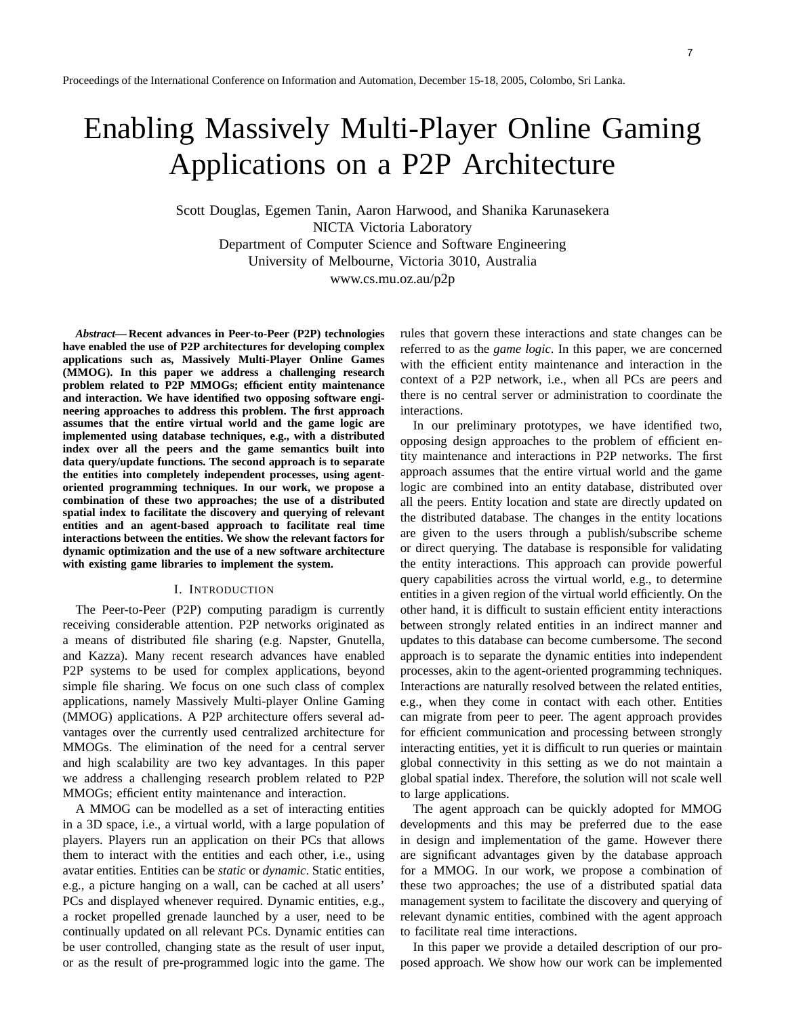# 7

# Enabling Massively Multi-Player Online Gaming Applications on a P2P Architecture

Scott Douglas, Egemen Tanin, Aaron Harwood, and Shanika Karunasekera NICTA Victoria Laboratory Department of Computer Science and Software Engineering University of Melbourne, Victoria 3010, Australia www.cs.mu.oz.au/p2p

*Abstract***—Recent advances in Peer-to-Peer (P2P) technologies have enabled the use of P2P architectures for developing complex applications such as, Massively Multi-Player Online Games (MMOG). In this paper we address a challenging research problem related to P2P MMOGs; efficient entity maintenance and interaction. We have identified two opposing software engineering approaches to address this problem. The first approach assumes that the entire virtual world and the game logic are implemented using database techniques, e.g., with a distributed index over all the peers and the game semantics built into data query/update functions. The second approach is to separate the entities into completely independent processes, using agentoriented programming techniques. In our work, we propose a combination of these two approaches; the use of a distributed spatial index to facilitate the discovery and querying of relevant entities and an agent-based approach to facilitate real time interactions between the entities. We show the relevant factors for dynamic optimization and the use of a new software architecture with existing game libraries to implement the system.**

#### I. INTRODUCTION

The Peer-to-Peer (P2P) computing paradigm is currently receiving considerable attention. P2P networks originated as a means of distributed file sharing (e.g. Napster, Gnutella, and Kazza). Many recent research advances have enabled P2P systems to be used for complex applications, beyond simple file sharing. We focus on one such class of complex applications, namely Massively Multi-player Online Gaming (MMOG) applications. A P2P architecture offers several advantages over the currently used centralized architecture for MMOGs. The elimination of the need for a central server and high scalability are two key advantages. In this paper we address a challenging research problem related to P2P MMOGs; efficient entity maintenance and interaction.

A MMOG can be modelled as a set of interacting entities in a 3D space, i.e., a virtual world, with a large population of players. Players run an application on their PCs that allows them to interact with the entities and each other, i.e., using avatar entities. Entities can be *static* or *dynamic*. Static entities, e.g., a picture hanging on a wall, can be cached at all users' PCs and displayed whenever required. Dynamic entities, e.g., a rocket propelled grenade launched by a user, need to be continually updated on all relevant PCs. Dynamic entities can be user controlled, changing state as the result of user input, or as the result of pre-programmed logic into the game. The

rules that govern these interactions and state changes can be referred to as the *game logic*. In this paper, we are concerned with the efficient entity maintenance and interaction in the context of a P2P network, i.e., when all PCs are peers and there is no central server or administration to coordinate the interactions.

In our preliminary prototypes, we have identified two, opposing design approaches to the problem of efficient entity maintenance and interactions in P2P networks. The first approach assumes that the entire virtual world and the game logic are combined into an entity database, distributed over all the peers. Entity location and state are directly updated on the distributed database. The changes in the entity locations are given to the users through a publish/subscribe scheme or direct querying. The database is responsible for validating the entity interactions. This approach can provide powerful query capabilities across the virtual world, e.g., to determine entities in a given region of the virtual world efficiently. On the other hand, it is difficult to sustain efficient entity interactions between strongly related entities in an indirect manner and updates to this database can become cumbersome. The second approach is to separate the dynamic entities into independent processes, akin to the agent-oriented programming techniques. Interactions are naturally resolved between the related entities, e.g., when they come in contact with each other. Entities can migrate from peer to peer. The agent approach provides for efficient communication and processing between strongly interacting entities, yet it is difficult to run queries or maintain global connectivity in this setting as we do not maintain a global spatial index. Therefore, the solution will not scale well to large applications.

The agent approach can be quickly adopted for MMOG developments and this may be preferred due to the ease in design and implementation of the game. However there are significant advantages given by the database approach for a MMOG. In our work, we propose a combination of these two approaches; the use of a distributed spatial data management system to facilitate the discovery and querying of relevant dynamic entities, combined with the agent approach to facilitate real time interactions.

In this paper we provide a detailed description of our proposed approach. We show how our work can be implemented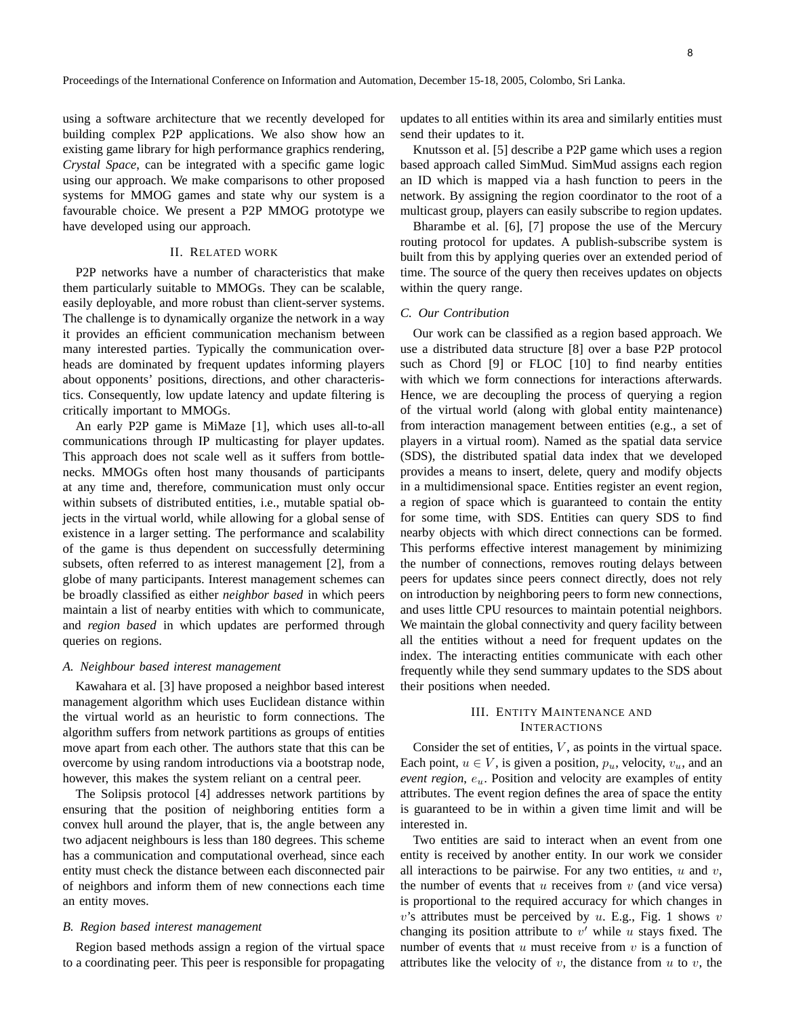using a software architecture that we recently developed for building complex P2P applications. We also show how an existing game library for high performance graphics rendering, *Crystal Space*, can be integrated with a specific game logic using our approach. We make comparisons to other proposed systems for MMOG games and state why our system is a favourable choice. We present a P2P MMOG prototype we have developed using our approach.

# II. RELATED WORK

P2P networks have a number of characteristics that make them particularly suitable to MMOGs. They can be scalable, easily deployable, and more robust than client-server systems. The challenge is to dynamically organize the network in a way it provides an efficient communication mechanism between many interested parties. Typically the communication overheads are dominated by frequent updates informing players about opponents' positions, directions, and other characteristics. Consequently, low update latency and update filtering is critically important to MMOGs.

An early P2P game is MiMaze [1], which uses all-to-all communications through IP multicasting for player updates. This approach does not scale well as it suffers from bottlenecks. MMOGs often host many thousands of participants at any time and, therefore, communication must only occur within subsets of distributed entities, i.e., mutable spatial objects in the virtual world, while allowing for a global sense of existence in a larger setting. The performance and scalability of the game is thus dependent on successfully determining subsets, often referred to as interest management [2], from a globe of many participants. Interest management schemes can be broadly classified as either *neighbor based* in which peers maintain a list of nearby entities with which to communicate, and *region based* in which updates are performed through queries on regions.

#### *A. Neighbour based interest management*

Kawahara et al. [3] have proposed a neighbor based interest management algorithm which uses Euclidean distance within the virtual world as an heuristic to form connections. The algorithm suffers from network partitions as groups of entities move apart from each other. The authors state that this can be overcome by using random introductions via a bootstrap node, however, this makes the system reliant on a central peer.

The Solipsis protocol [4] addresses network partitions by ensuring that the position of neighboring entities form a convex hull around the player, that is, the angle between any two adjacent neighbours is less than 180 degrees. This scheme has a communication and computational overhead, since each entity must check the distance between each disconnected pair of neighbors and inform them of new connections each time an entity moves.

#### *B. Region based interest management*

Region based methods assign a region of the virtual space to a coordinating peer. This peer is responsible for propagating updates to all entities within its area and similarly entities must send their updates to it.

Knutsson et al. [5] describe a P2P game which uses a region based approach called SimMud. SimMud assigns each region an ID which is mapped via a hash function to peers in the network. By assigning the region coordinator to the root of a multicast group, players can easily subscribe to region updates.

Bharambe et al. [6], [7] propose the use of the Mercury routing protocol for updates. A publish-subscribe system is built from this by applying queries over an extended period of time. The source of the query then receives updates on objects within the query range.

#### *C. Our Contribution*

Our work can be classified as a region based approach. We use a distributed data structure [8] over a base P2P protocol such as Chord [9] or FLOC [10] to find nearby entities with which we form connections for interactions afterwards. Hence, we are decoupling the process of querying a region of the virtual world (along with global entity maintenance) from interaction management between entities (e.g., a set of players in a virtual room). Named as the spatial data service (SDS), the distributed spatial data index that we developed provides a means to insert, delete, query and modify objects in a multidimensional space. Entities register an event region, a region of space which is guaranteed to contain the entity for some time, with SDS. Entities can query SDS to find nearby objects with which direct connections can be formed. This performs effective interest management by minimizing the number of connections, removes routing delays between peers for updates since peers connect directly, does not rely on introduction by neighboring peers to form new connections, and uses little CPU resources to maintain potential neighbors. We maintain the global connectivity and query facility between all the entities without a need for frequent updates on the index. The interacting entities communicate with each other frequently while they send summary updates to the SDS about their positions when needed.

# III. ENTITY MAINTENANCE AND INTERACTIONS

Consider the set of entities,  $V$ , as points in the virtual space. Each point,  $u \in V$ , is given a position,  $p_u$ , velocity,  $v_u$ , and an *event region,*  $e_u$ *.* Position and velocity are examples of entity attributes. The event region defines the area of space the entity is guaranteed to be in within a given time limit and will be interested in.

Two entities are said to interact when an event from one entity is received by another entity. In our work we consider all interactions to be pairwise. For any two entities,  $u$  and  $v$ , the number of events that  $u$  receives from  $v$  (and vice versa) is proportional to the required accuracy for which changes in  $v$ 's attributes must be perceived by  $u$ . E.g., Fig. 1 shows  $v$ changing its position attribute to  $v'$  while u stays fixed. The number of events that  $u$  must receive from  $v$  is a function of attributes like the velocity of  $v$ , the distance from  $u$  to  $v$ , the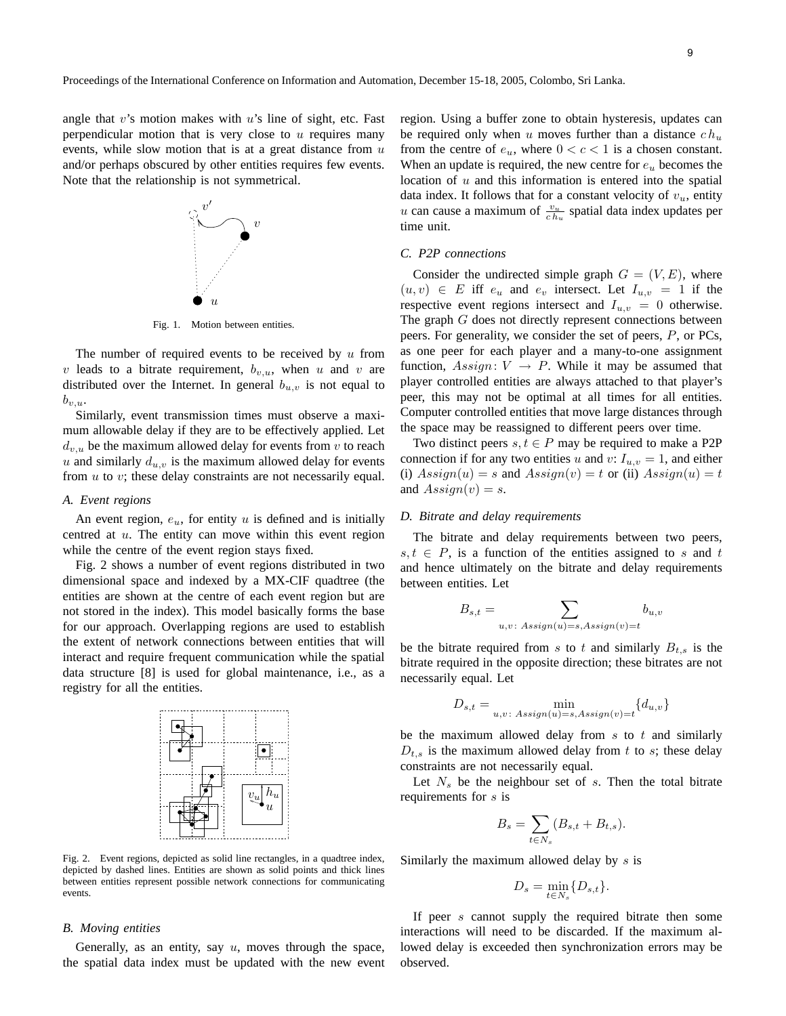angle that  $v$ 's motion makes with  $u$ 's line of sight, etc. Fast perpendicular motion that is very close to  $u$  requires many events, while slow motion that is at a great distance from  $u$ and/or perhaps obscured by other entities requires few events. Note that the relationship is not symmetrical.



Fig. 1. Motion between entities.

The number of required events to be received by  $u$  from v leads to a bitrate requirement,  $b_{v,u}$ , when u and v are distributed over the Internet. In general  $b_{u,v}$  is not equal to  $b_{v,u}$ .

Similarly, event transmission times must observe a maximum allowable delay if they are to be effectively applied. Let  $d_{v,u}$  be the maximum allowed delay for events from v to reach u and similarly  $d_{u,v}$  is the maximum allowed delay for events from  $u$  to  $v$ ; these delay constraints are not necessarily equal.

#### *A. Event regions*

An event region,  $e_u$ , for entity u is defined and is initially centred at u. The entity can move within this event region while the centre of the event region stays fixed.

Fig. 2 shows a number of event regions distributed in two dimensional space and indexed by a MX-CIF quadtree (the entities are shown at the centre of each event region but are not stored in the index). This model basically forms the base for our approach. Overlapping regions are used to establish the extent of network connections between entities that will interact and require frequent communication while the spatial data structure [8] is used for global maintenance, i.e., as a registry for all the entities.



Fig. 2. Event regions, depicted as solid line rectangles, in a quadtree index, depicted by dashed lines. Entities are shown as solid points and thick lines between entities represent possible network connections for communicating events.

#### *B. Moving entities*

Generally, as an entity, say  $u$ , moves through the space, the spatial data index must be updated with the new event region. Using a buffer zone to obtain hysteresis, updates can be required only when u moves further than a distance  $ch_u$ from the centre of  $e_u$ , where  $0 < c < 1$  is a chosen constant. When an update is required, the new centre for  $e<sub>u</sub>$  becomes the location of  $u$  and this information is entered into the spatial data index. It follows that for a constant velocity of  $v<sub>u</sub>$ , entity u can cause a maximum of  $\frac{v_u}{c h_u}$  spatial data index updates per time unit.

## *C. P2P connections*

Consider the undirected simple graph  $G = (V, E)$ , where  $(u, v) \in E$  iff  $e_u$  and  $e_v$  intersect. Let  $I_{u,v} = 1$  if the respective event regions intersect and  $I_{u,v} = 0$  otherwise. The graph G does not directly represent connections between peers. For generality, we consider the set of peers, P, or PCs, as one peer for each player and a many-to-one assignment function,  $Assign: V \rightarrow P$ . While it may be assumed that player controlled entities are always attached to that player's peer, this may not be optimal at all times for all entities. Computer controlled entities that move large distances through the space may be reassigned to different peers over time.

Two distinct peers  $s, t \in P$  may be required to make a P2P connection if for any two entities u and v:  $I_{u,v} = 1$ , and either (i)  $Assign(u) = s$  and  $Assign(v) = t$  or (ii)  $Assign(u) = t$ and  $Assign(v) = s$ .

#### *D. Bitrate and delay requirements*

The bitrate and delay requirements between two peers,  $s, t \in P$ , is a function of the entities assigned to s and t and hence ultimately on the bitrate and delay requirements between entities. Let

$$
B_{s,t} = \sum_{u,v \colon Assign(u)=s, Assign(v)=t} b_{u,v}
$$

be the bitrate required from s to t and similarly  $B_{t,s}$  is the bitrate required in the opposite direction; these bitrates are not necessarily equal. Let

$$
D_{s,t} = \min_{u,v \colon Assign(u)=s, Assign(v)=t} \{d_{u,v}\}\
$$

be the maximum allowed delay from  $s$  to  $t$  and similarly  $D_{t,s}$  is the maximum allowed delay from t to s; these delay constraints are not necessarily equal.

Let  $N_s$  be the neighbour set of s. Then the total bitrate requirements for s is

$$
B_s = \sum_{t \in N_s} (B_{s,t} + B_{t,s}).
$$

Similarly the maximum allowed delay by  $s$  is

$$
D_s = \min_{t \in N_s} \{D_{s,t}\}.
$$

If peer s cannot supply the required bitrate then some interactions will need to be discarded. If the maximum allowed delay is exceeded then synchronization errors may be observed.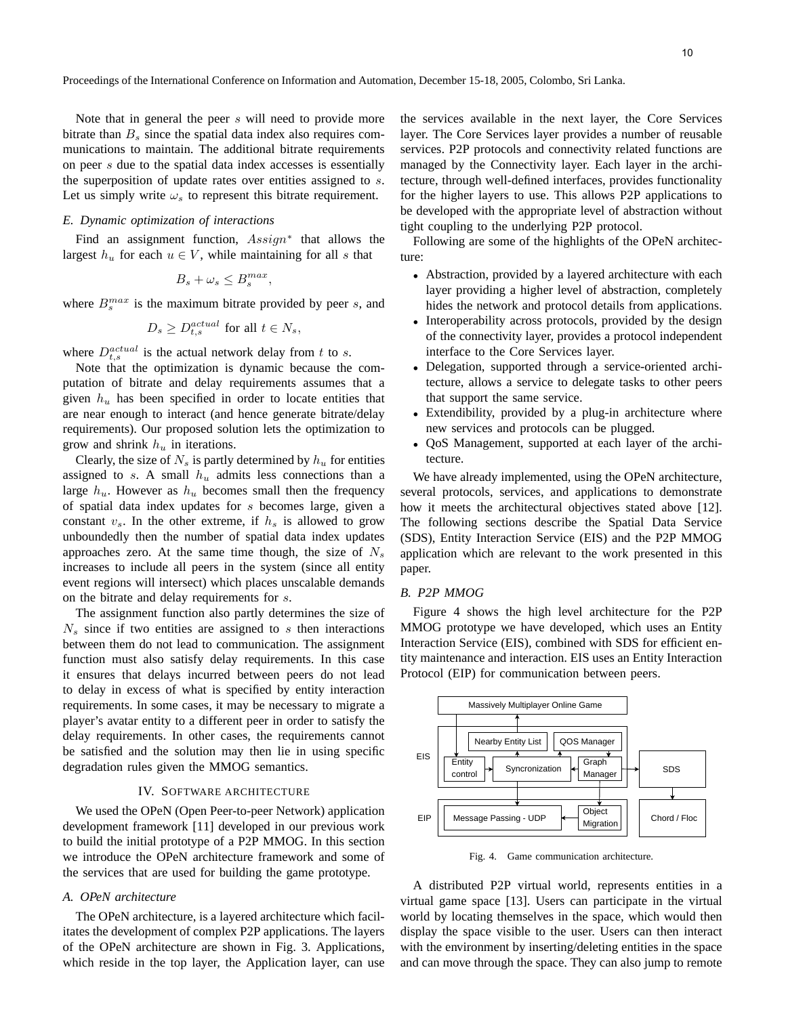Note that in general the peer s will need to provide more bitrate than  $B_s$  since the spatial data index also requires communications to maintain. The additional bitrate requirements on peer s due to the spatial data index accesses is essentially the superposition of update rates over entities assigned to s. Let us simply write  $\omega_s$  to represent this bitrate requirement.

# *E. Dynamic optimization of interactions*

Find an assignment function,  $Assign^*$  that allows the largest  $h_u$  for each  $u \in V$ , while maintaining for all s that

$$
B_s + \omega_s \le B_s^{max},
$$

where  $B_s^{max}$  is the maximum bitrate provided by peer s, and

$$
D_s \ge D_{t,s}^{actual} \text{ for all } t \in N_s,
$$

where  $D_{t,s}^{actual}$  is the actual network delay from t to s.

Note that the optimization is dynamic because the computation of bitrate and delay requirements assumes that a given  $h_u$  has been specified in order to locate entities that are near enough to interact (and hence generate bitrate/delay requirements). Our proposed solution lets the optimization to grow and shrink  $h_u$  in iterations.

Clearly, the size of  $N_s$  is partly determined by  $h_u$  for entities assigned to s. A small  $h_u$  admits less connections than a large  $h_u$ . However as  $h_u$  becomes small then the frequency of spatial data index updates for s becomes large, given a constant  $v_s$ . In the other extreme, if  $h_s$  is allowed to grow unboundedly then the number of spatial data index updates approaches zero. At the same time though, the size of  $N_s$ increases to include all peers in the system (since all entity event regions will intersect) which places unscalable demands on the bitrate and delay requirements for s.

The assignment function also partly determines the size of  $N<sub>s</sub>$  since if two entities are assigned to s then interactions between them do not lead to communication. The assignment function must also satisfy delay requirements. In this case it ensures that delays incurred between peers do not lead to delay in excess of what is specified by entity interaction requirements. In some cases, it may be necessary to migrate a player's avatar entity to a different peer in order to satisfy the delay requirements. In other cases, the requirements cannot be satisfied and the solution may then lie in using specific degradation rules given the MMOG semantics.

#### IV. SOFTWARE ARCHITECTURE

We used the OPeN (Open Peer-to-peer Network) application development framework [11] developed in our previous work to build the initial prototype of a P2P MMOG. In this section we introduce the OPeN architecture framework and some of the services that are used for building the game prototype.

## *A. OPeN architecture*

The OPeN architecture, is a layered architecture which facilitates the development of complex P2P applications. The layers of the OPeN architecture are shown in Fig. 3. Applications, which reside in the top layer, the Application layer, can use the services available in the next layer, the Core Services layer. The Core Services layer provides a number of reusable services. P2P protocols and connectivity related functions are managed by the Connectivity layer. Each layer in the architecture, through well-defined interfaces, provides functionality for the higher layers to use. This allows P2P applications to be developed with the appropriate level of abstraction without tight coupling to the underlying P2P protocol.

Following are some of the highlights of the OPeN architecture:

- Abstraction, provided by a layered architecture with each layer providing a higher level of abstraction, completely hides the network and protocol details from applications.
- Interoperability across protocols, provided by the design of the connectivity layer, provides a protocol independent interface to the Core Services layer.
- Delegation, supported through a service-oriented architecture, allows a service to delegate tasks to other peers that support the same service.
- Extendibility, provided by a plug-in architecture where new services and protocols can be plugged.
- QoS Management, supported at each layer of the architecture.

We have already implemented, using the OPeN architecture, several protocols, services, and applications to demonstrate how it meets the architectural objectives stated above [12]. The following sections describe the Spatial Data Service (SDS), Entity Interaction Service (EIS) and the P2P MMOG application which are relevant to the work presented in this paper.

# *B. P2P MMOG*

Figure 4 shows the high level architecture for the P2P MMOG prototype we have developed, which uses an Entity Interaction Service (EIS), combined with SDS for efficient entity maintenance and interaction. EIS uses an Entity Interaction Protocol (EIP) for communication between peers.



Fig. 4. Game communication architecture.

A distributed P2P virtual world, represents entities in a virtual game space [13]. Users can participate in the virtual world by locating themselves in the space, which would then display the space visible to the user. Users can then interact with the environment by inserting/deleting entities in the space and can move through the space. They can also jump to remote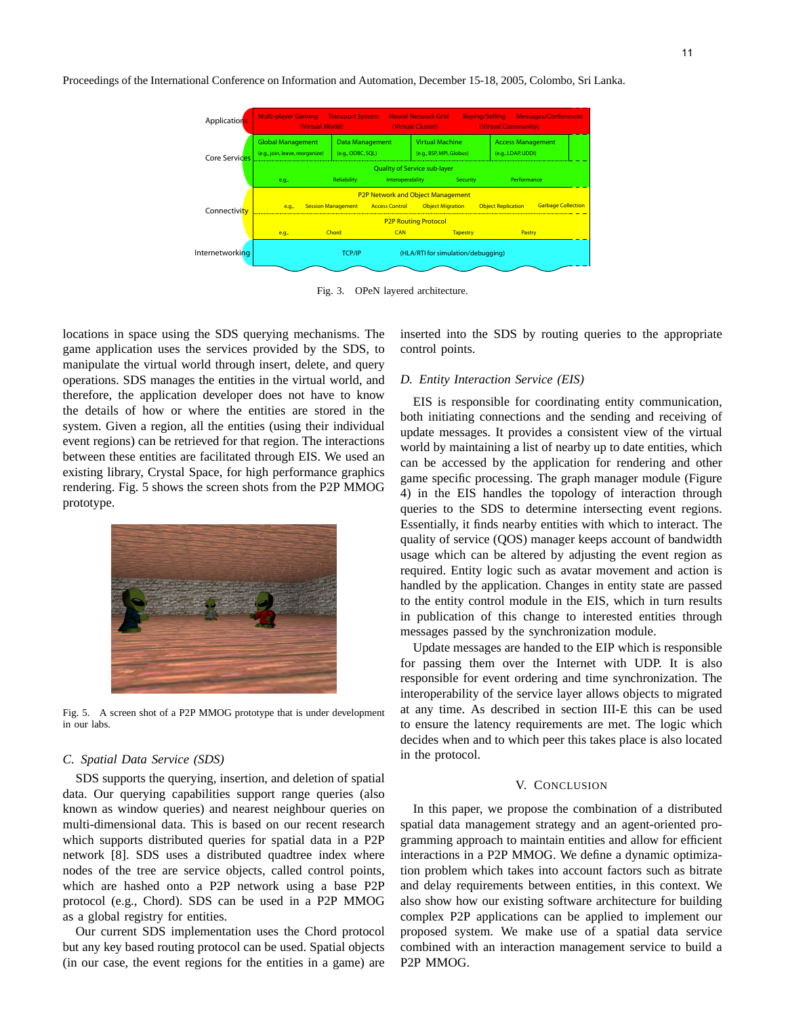Proceedings of the International Conference on Information and Automation, December 15-18, 2005, Colombo, Sri Lanka.



Fig. 3. OPeN layered architecture.

locations in space using the SDS querying mechanisms. The game application uses the services provided by the SDS, to manipulate the virtual world through insert, delete, and query operations. SDS manages the entities in the virtual world, and therefore, the application developer does not have to know the details of how or where the entities are stored in the system. Given a region, all the entities (using their individual event regions) can be retrieved for that region. The interactions between these entities are facilitated through EIS. We used an existing library, Crystal Space, for high performance graphics rendering. Fig. 5 shows the screen shots from the P2P MMOG prototype.



Fig. 5. A screen shot of a P2P MMOG prototype that is under development in our labs.

# *C. Spatial Data Service (SDS)*

SDS supports the querying, insertion, and deletion of spatial data. Our querying capabilities support range queries (also known as window queries) and nearest neighbour queries on multi-dimensional data. This is based on our recent research which supports distributed queries for spatial data in a P2P network [8]. SDS uses a distributed quadtree index where nodes of the tree are service objects, called control points, which are hashed onto a P2P network using a base P2P protocol (e.g., Chord). SDS can be used in a P2P MMOG as a global registry for entities.

Our current SDS implementation uses the Chord protocol but any key based routing protocol can be used. Spatial objects (in our case, the event regions for the entities in a game) are inserted into the SDS by routing queries to the appropriate control points.

### *D. Entity Interaction Service (EIS)*

EIS is responsible for coordinating entity communication, both initiating connections and the sending and receiving of update messages. It provides a consistent view of the virtual world by maintaining a list of nearby up to date entities, which can be accessed by the application for rendering and other game specific processing. The graph manager module (Figure 4) in the EIS handles the topology of interaction through queries to the SDS to determine intersecting event regions. Essentially, it finds nearby entities with which to interact. The quality of service (QOS) manager keeps account of bandwidth usage which can be altered by adjusting the event region as required. Entity logic such as avatar movement and action is handled by the application. Changes in entity state are passed to the entity control module in the EIS, which in turn results in publication of this change to interested entities through messages passed by the synchronization module.

Update messages are handed to the EIP which is responsible for passing them over the Internet with UDP. It is also responsible for event ordering and time synchronization. The interoperability of the service layer allows objects to migrated at any time. As described in section III-E this can be used to ensure the latency requirements are met. The logic which decides when and to which peer this takes place is also located in the protocol.

### V. CONCLUSION

In this paper, we propose the combination of a distributed spatial data management strategy and an agent-oriented programming approach to maintain entities and allow for efficient interactions in a P2P MMOG. We define a dynamic optimization problem which takes into account factors such as bitrate and delay requirements between entities, in this context. We also show how our existing software architecture for building complex P2P applications can be applied to implement our proposed system. We make use of a spatial data service combined with an interaction management service to build a P2P MMOG.